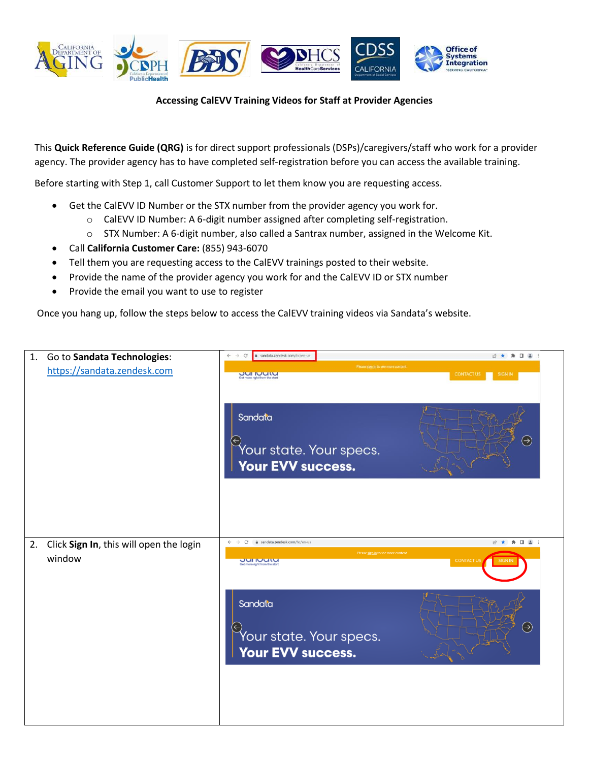

This **Quick Reference Guide (QRG)** is for direct support professionals (DSPs)/caregivers/staff who work for a provider agency. The provider agency has to have completed self-registration before you can access the available training.

Before starting with Step 1, call Customer Support to let them know you are requesting access.

- Get the CalEVV ID Number or the STX number from the provider agency you work for.
	- o CalEVV ID Number: A 6-digit number assigned after completing self-registration.
	- o STX Number: A 6-digit number, also called a Santrax number, assigned in the Welcome Kit.
- Call **California Customer Care:** (855) 943-6070
- Tell them you are requesting access to the CalEVV trainings posted to their website.
- Provide the name of the provider agency you work for and the CalEVV ID or STX number
- Provide the email you want to use to register

Once you hang up, follow the steps below to access the CalEVV training videos via Sandata's website.

| 1. | Go to Sandata Technologies:             | sandata.zendesk.com/hc/en-us<br>$\mathcal{C}$<br>$\leftarrow$<br>$\rightarrow$                          | 2★ ★ 日 4 :                          |
|----|-----------------------------------------|---------------------------------------------------------------------------------------------------------|-------------------------------------|
|    | https://sandata.zendesk.com             | Please sign in to see more content<br>Get more right from the start                                     | <b>CONTACT US</b><br><b>SIGN IN</b> |
|    |                                         | Sandata<br>Your state. Your specs.<br><b>Your EVV success.</b>                                          | $\odot$                             |
| 2. | Click Sign In, this will open the login | a sandata.zendesk.com/hc/en-us<br>$\rightarrow$ C<br>$\leftarrow$<br>Please sign in to see more content | 2 ★ ★ □ ▲ :                         |
|    | window                                  | Get more right from the start                                                                           | <b>CONTACT US</b><br><b>SIGN IN</b> |
|    |                                         | Sandata<br>Your state. Your specs.<br><b>Your EVV success.</b>                                          | $\bigodot$                          |
|    |                                         |                                                                                                         |                                     |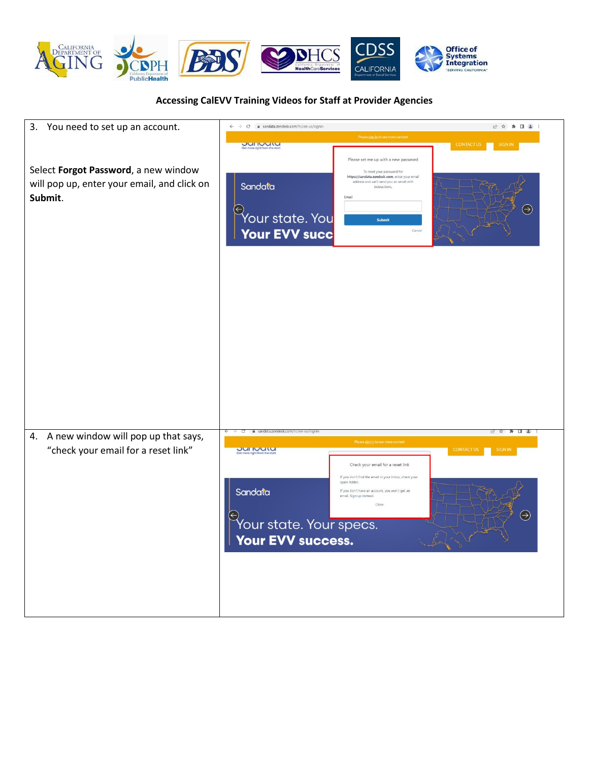

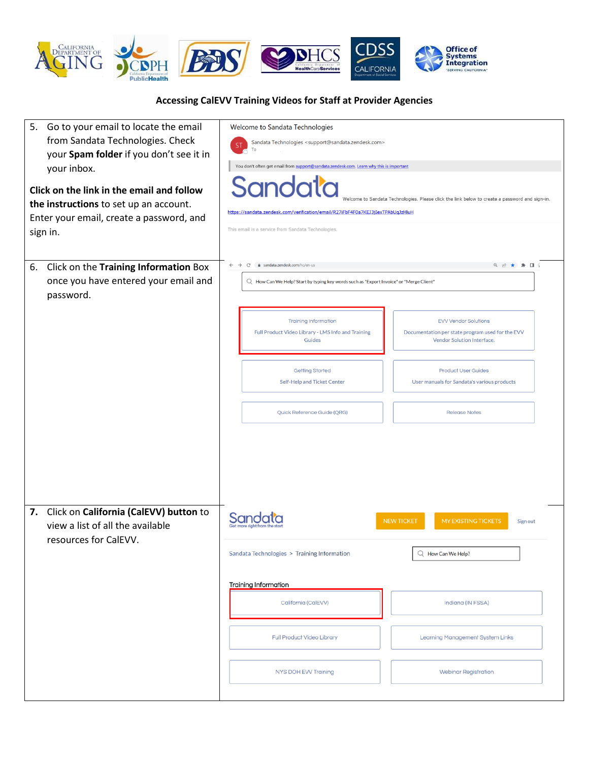

| Go to your email to locate the email<br>5.<br>from Sandata Technologies. Check<br>your Spam folder if you don't see it in<br>your inbox.<br>Click on the link in the email and follow<br>the instructions to set up an account.<br>Enter your email, create a password, and<br>sign in. | Welcome to Sandata Technologies<br>Sandata Technologies <support@sandata.zendesk.com><br/><b>ST</b><br/>To<br/>You don't often get email from support@sandata.zendesk.com. Learn why this is important<br/>Sandata<br/>Velcome to Sandata Technologies. Please click the link below to create a password and sign-in.<br/>https://sandata.zendesk.com/verification/email/R27iFbF4F0a7KEJ3jIexTPAbUqJzHluH<br/>This email is a service from Sandata Technologies.</support@sandata.zendesk.com> |                                                                                                               |  |
|-----------------------------------------------------------------------------------------------------------------------------------------------------------------------------------------------------------------------------------------------------------------------------------------|------------------------------------------------------------------------------------------------------------------------------------------------------------------------------------------------------------------------------------------------------------------------------------------------------------------------------------------------------------------------------------------------------------------------------------------------------------------------------------------------|---------------------------------------------------------------------------------------------------------------|--|
| Click on the Training Information Box<br>6.                                                                                                                                                                                                                                             | c' a sandata.zendesk.com/hc/en-us<br>$\leftarrow$ $\rightarrow$                                                                                                                                                                                                                                                                                                                                                                                                                                | ◎ ピ★ ★ Ⅲ ↓                                                                                                    |  |
| once you have entered your email and<br>password.                                                                                                                                                                                                                                       | $Q$ How Can We Help? Start by typing key words such as "Export Invoice" or "Merge Client"                                                                                                                                                                                                                                                                                                                                                                                                      |                                                                                                               |  |
|                                                                                                                                                                                                                                                                                         | <b>Training Information</b><br>Full Product Video Library - LMS Info and Training<br>Guides                                                                                                                                                                                                                                                                                                                                                                                                    | <b>EVV Vendor Solutions</b><br>Documentation per state program used for the EVV<br>Vendor Solution Interface. |  |
|                                                                                                                                                                                                                                                                                         | <b>Getting Started</b><br>Self-Help and Ticket Center                                                                                                                                                                                                                                                                                                                                                                                                                                          | <b>Product User Guides</b><br>User manuals for Sandata's various products                                     |  |
|                                                                                                                                                                                                                                                                                         | Quick Reference Guide (QRG)                                                                                                                                                                                                                                                                                                                                                                                                                                                                    | <b>Release Notes</b>                                                                                          |  |
| Click on California (CalEVV) button to<br>7.<br>view a list of all the available<br>resources for CalEVV.                                                                                                                                                                               | <b>MY EXISTING TICKETS</b><br><b>NEW TICKET</b><br>Sign out                                                                                                                                                                                                                                                                                                                                                                                                                                    |                                                                                                               |  |
|                                                                                                                                                                                                                                                                                         | Sandata Technologies > Training Information                                                                                                                                                                                                                                                                                                                                                                                                                                                    | Q How Can We Help?                                                                                            |  |
|                                                                                                                                                                                                                                                                                         | <b>Training Information</b>                                                                                                                                                                                                                                                                                                                                                                                                                                                                    |                                                                                                               |  |
|                                                                                                                                                                                                                                                                                         | California (CalEVV)                                                                                                                                                                                                                                                                                                                                                                                                                                                                            | Indiana (IN FSSA)                                                                                             |  |
|                                                                                                                                                                                                                                                                                         | <b>Full Product Video Library</b>                                                                                                                                                                                                                                                                                                                                                                                                                                                              | Learning Management System Links                                                                              |  |
|                                                                                                                                                                                                                                                                                         | NYS DOH EVV Training                                                                                                                                                                                                                                                                                                                                                                                                                                                                           | <b>Webinar Registration</b>                                                                                   |  |
|                                                                                                                                                                                                                                                                                         |                                                                                                                                                                                                                                                                                                                                                                                                                                                                                                |                                                                                                               |  |